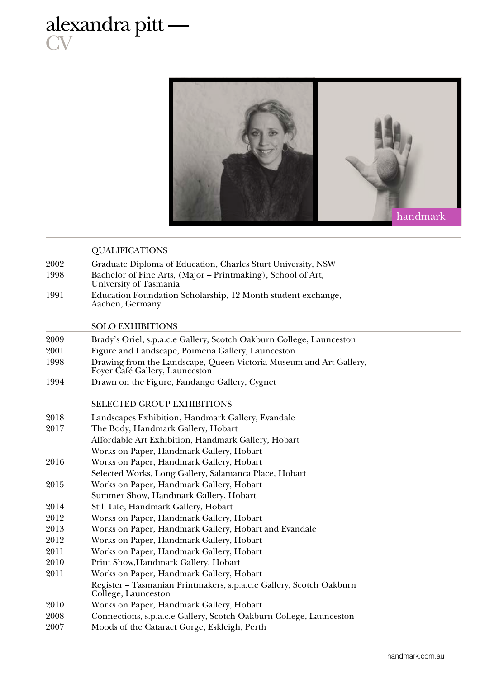## alexandra pitt — **CV**



|      | <b>QUALIFICATIONS</b>                                                                                |
|------|------------------------------------------------------------------------------------------------------|
| 2002 | Graduate Diploma of Education, Charles Sturt University, NSW                                         |
| 1998 | Bachelor of Fine Arts, (Major – Printmaking), School of Art,<br>University of Tasmania               |
| 1991 | Education Foundation Scholarship, 12 Month student exchange,<br>Aachen, Germany                      |
|      | <b>SOLO EXHIBITIONS</b>                                                                              |
| 2009 | Brady's Oriel, s.p.a.c.e Gallery, Scotch Oakburn College, Launceston                                 |
| 2001 | Figure and Landscape, Poimena Gallery, Launceston                                                    |
| 1998 | Drawing from the Landscape, Queen Victoria Museum and Art Gallery,<br>Foyer Café Gallery, Launceston |
| 1994 | Drawn on the Figure, Fandango Gallery, Cygnet                                                        |
|      | <b>SELECTED GROUP EXHIBITIONS</b>                                                                    |
| 2018 | Landscapes Exhibition, Handmark Gallery, Evandale                                                    |
| 2017 | The Body, Handmark Gallery, Hobart                                                                   |
|      | Affordable Art Exhibition, Handmark Gallery, Hobart                                                  |
|      | Works on Paper, Handmark Gallery, Hobart                                                             |
| 2016 | Works on Paper, Handmark Gallery, Hobart                                                             |
|      | Selected Works, Long Gallery, Salamanca Place, Hobart                                                |
| 2015 | Works on Paper, Handmark Gallery, Hobart                                                             |
|      | Summer Show, Handmark Gallery, Hobart                                                                |
| 2014 | Still Life, Handmark Gallery, Hobart                                                                 |
| 2012 | Works on Paper, Handmark Gallery, Hobart                                                             |
| 2013 | Works on Paper, Handmark Gallery, Hobart and Evandale                                                |
| 2012 | Works on Paper, Handmark Gallery, Hobart                                                             |
| 2011 | Works on Paper, Handmark Gallery, Hobart                                                             |
| 2010 | Print Show, Handmark Gallery, Hobart                                                                 |
| 2011 | Works on Paper, Handmark Gallery, Hobart                                                             |
|      | Register - Tasmanian Printmakers, s.p.a.c.e Gallery, Scotch Oakburn<br>College, Launceston           |
| 2010 | Works on Paper, Handmark Gallery, Hobart                                                             |
| 2008 | Connections, s.p.a.c.e Gallery, Scotch Oakburn College, Launceston                                   |
| 2007 | Moods of the Cataract Gorge, Eskleigh, Perth                                                         |